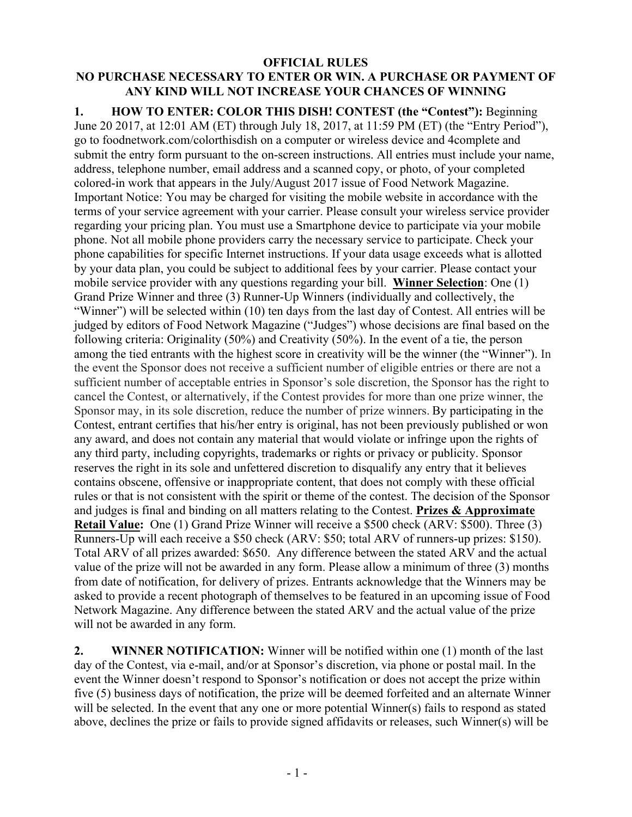## **OFFICIAL RULES NO PURCHASE NECESSARY TO ENTER OR WIN. A PURCHASE OR PAYMENT OF ANY KIND WILL NOT INCREASE YOUR CHANCES OF WINNING**

**1. HOW TO ENTER: COLOR THIS DISH! CONTEST (the "Contest"):** Beginning June 20 2017, at 12:01 AM (ET) through July 18, 2017, at 11:59 PM (ET) (the "Entry Period"), go to foodnetwork.com/colorthisdish on a computer or wireless device and 4complete and submit the entry form pursuant to the on-screen instructions. All entries must include your name, address, telephone number, email address and a scanned copy, or photo, of your completed colored-in work that appears in the July/August 2017 issue of Food Network Magazine. Important Notice: You may be charged for visiting the mobile website in accordance with the terms of your service agreement with your carrier. Please consult your wireless service provider regarding your pricing plan. You must use a Smartphone device to participate via your mobile phone. Not all mobile phone providers carry the necessary service to participate. Check your phone capabilities for specific Internet instructions. If your data usage exceeds what is allotted by your data plan, you could be subject to additional fees by your carrier. Please contact your mobile service provider with any questions regarding your bill. **Winner Selection**: One (1) Grand Prize Winner and three (3) Runner-Up Winners (individually and collectively, the "Winner") will be selected within (10) ten days from the last day of Contest. All entries will be judged by editors of Food Network Magazine ("Judges") whose decisions are final based on the following criteria: Originality (50%) and Creativity (50%). In the event of a tie, the person among the tied entrants with the highest score in creativity will be the winner (the "Winner"). In the event the Sponsor does not receive a sufficient number of eligible entries or there are not a sufficient number of acceptable entries in Sponsor's sole discretion, the Sponsor has the right to cancel the Contest, or alternatively, if the Contest provides for more than one prize winner, the Sponsor may, in its sole discretion, reduce the number of prize winners. By participating in the Contest, entrant certifies that his/her entry is original, has not been previously published or won any award, and does not contain any material that would violate or infringe upon the rights of any third party, including copyrights, trademarks or rights or privacy or publicity. Sponsor reserves the right in its sole and unfettered discretion to disqualify any entry that it believes contains obscene, offensive or inappropriate content, that does not comply with these official rules or that is not consistent with the spirit or theme of the contest. The decision of the Sponsor and judges is final and binding on all matters relating to the Contest. **Prizes & Approximate Retail Value:** One (1) Grand Prize Winner will receive a \$500 check (ARV: \$500). Three (3) Runners-Up will each receive a \$50 check (ARV: \$50; total ARV of runners-up prizes: \$150). Total ARV of all prizes awarded: \$650. Any difference between the stated ARV and the actual value of the prize will not be awarded in any form. Please allow a minimum of three (3) months from date of notification, for delivery of prizes. Entrants acknowledge that the Winners may be asked to provide a recent photograph of themselves to be featured in an upcoming issue of Food Network Magazine. Any difference between the stated ARV and the actual value of the prize will not be awarded in any form.

**2. WINNER NOTIFICATION:** Winner will be notified within one (1) month of the last day of the Contest, via e-mail, and/or at Sponsor's discretion, via phone or postal mail. In the event the Winner doesn't respond to Sponsor's notification or does not accept the prize within five (5) business days of notification, the prize will be deemed forfeited and an alternate Winner will be selected. In the event that any one or more potential Winner(s) fails to respond as stated above, declines the prize or fails to provide signed affidavits or releases, such Winner(s) will be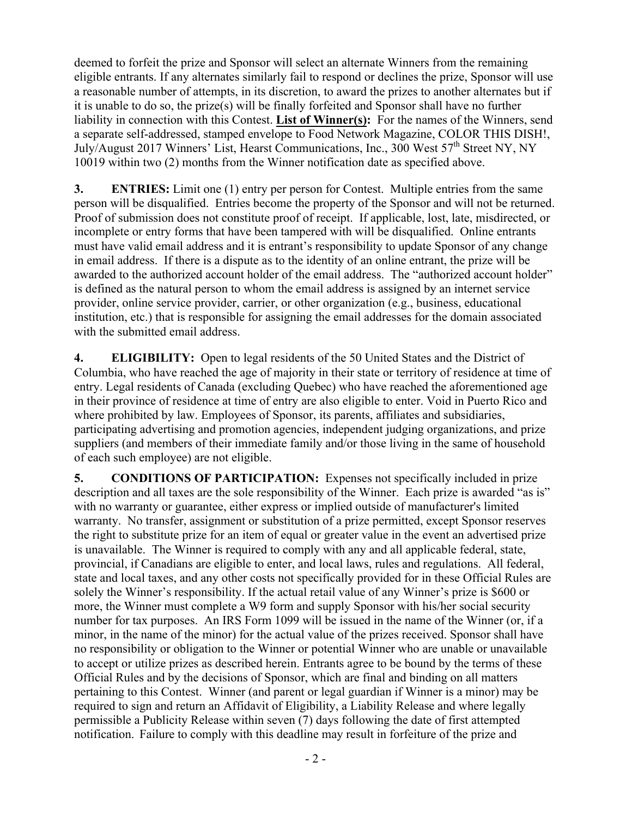deemed to forfeit the prize and Sponsor will select an alternate Winners from the remaining eligible entrants. If any alternates similarly fail to respond or declines the prize, Sponsor will use a reasonable number of attempts, in its discretion, to award the prizes to another alternates but if it is unable to do so, the prize(s) will be finally forfeited and Sponsor shall have no further liability in connection with this Contest. **List of Winner(s):** For the names of the Winners, send a separate self-addressed, stamped envelope to Food Network Magazine, COLOR THIS DISH!, July/August 2017 Winners' List, Hearst Communications, Inc., 300 West 57<sup>th</sup> Street NY, NY 10019 within two (2) months from the Winner notification date as specified above.

**3. ENTRIES:** Limit one (1) entry per person for Contest. Multiple entries from the same person will be disqualified. Entries become the property of the Sponsor and will not be returned. Proof of submission does not constitute proof of receipt. If applicable, lost, late, misdirected, or incomplete or entry forms that have been tampered with will be disqualified. Online entrants must have valid email address and it is entrant's responsibility to update Sponsor of any change in email address. If there is a dispute as to the identity of an online entrant, the prize will be awarded to the authorized account holder of the email address. The "authorized account holder" is defined as the natural person to whom the email address is assigned by an internet service provider, online service provider, carrier, or other organization (e.g., business, educational institution, etc.) that is responsible for assigning the email addresses for the domain associated with the submitted email address.

**4. ELIGIBILITY:** Open to legal residents of the 50 United States and the District of Columbia, who have reached the age of majority in their state or territory of residence at time of entry. Legal residents of Canada (excluding Quebec) who have reached the aforementioned age in their province of residence at time of entry are also eligible to enter. Void in Puerto Rico and where prohibited by law. Employees of Sponsor, its parents, affiliates and subsidiaries, participating advertising and promotion agencies, independent judging organizations, and prize suppliers (and members of their immediate family and/or those living in the same of household of each such employee) are not eligible.

**5. CONDITIONS OF PARTICIPATION:** Expenses not specifically included in prize description and all taxes are the sole responsibility of the Winner. Each prize is awarded "as is" with no warranty or guarantee, either express or implied outside of manufacturer's limited warranty. No transfer, assignment or substitution of a prize permitted, except Sponsor reserves the right to substitute prize for an item of equal or greater value in the event an advertised prize is unavailable. The Winner is required to comply with any and all applicable federal, state, provincial, if Canadians are eligible to enter, and local laws, rules and regulations. All federal, state and local taxes, and any other costs not specifically provided for in these Official Rules are solely the Winner's responsibility. If the actual retail value of any Winner's prize is \$600 or more, the Winner must complete a W9 form and supply Sponsor with his/her social security number for tax purposes. An IRS Form 1099 will be issued in the name of the Winner (or, if a minor, in the name of the minor) for the actual value of the prizes received. Sponsor shall have no responsibility or obligation to the Winner or potential Winner who are unable or unavailable to accept or utilize prizes as described herein. Entrants agree to be bound by the terms of these Official Rules and by the decisions of Sponsor, which are final and binding on all matters pertaining to this Contest. Winner (and parent or legal guardian if Winner is a minor) may be required to sign and return an Affidavit of Eligibility, a Liability Release and where legally permissible a Publicity Release within seven (7) days following the date of first attempted notification. Failure to comply with this deadline may result in forfeiture of the prize and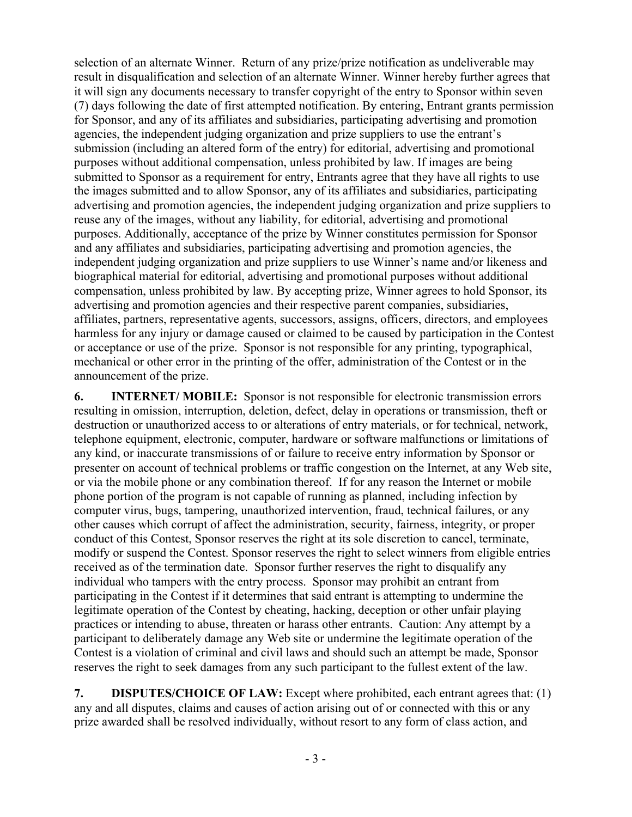selection of an alternate Winner. Return of any prize/prize notification as undeliverable may result in disqualification and selection of an alternate Winner. Winner hereby further agrees that it will sign any documents necessary to transfer copyright of the entry to Sponsor within seven (7) days following the date of first attempted notification. By entering, Entrant grants permission for Sponsor, and any of its affiliates and subsidiaries, participating advertising and promotion agencies, the independent judging organization and prize suppliers to use the entrant's submission (including an altered form of the entry) for editorial, advertising and promotional purposes without additional compensation, unless prohibited by law. If images are being submitted to Sponsor as a requirement for entry, Entrants agree that they have all rights to use the images submitted and to allow Sponsor, any of its affiliates and subsidiaries, participating advertising and promotion agencies, the independent judging organization and prize suppliers to reuse any of the images, without any liability, for editorial, advertising and promotional purposes. Additionally, acceptance of the prize by Winner constitutes permission for Sponsor and any affiliates and subsidiaries, participating advertising and promotion agencies, the independent judging organization and prize suppliers to use Winner's name and/or likeness and biographical material for editorial, advertising and promotional purposes without additional compensation, unless prohibited by law. By accepting prize, Winner agrees to hold Sponsor, its advertising and promotion agencies and their respective parent companies, subsidiaries, affiliates, partners, representative agents, successors, assigns, officers, directors, and employees harmless for any injury or damage caused or claimed to be caused by participation in the Contest or acceptance or use of the prize. Sponsor is not responsible for any printing, typographical, mechanical or other error in the printing of the offer, administration of the Contest or in the announcement of the prize.

**6. INTERNET/ MOBILE:** Sponsor is not responsible for electronic transmission errors resulting in omission, interruption, deletion, defect, delay in operations or transmission, theft or destruction or unauthorized access to or alterations of entry materials, or for technical, network, telephone equipment, electronic, computer, hardware or software malfunctions or limitations of any kind, or inaccurate transmissions of or failure to receive entry information by Sponsor or presenter on account of technical problems or traffic congestion on the Internet, at any Web site, or via the mobile phone or any combination thereof. If for any reason the Internet or mobile phone portion of the program is not capable of running as planned, including infection by computer virus, bugs, tampering, unauthorized intervention, fraud, technical failures, or any other causes which corrupt of affect the administration, security, fairness, integrity, or proper conduct of this Contest, Sponsor reserves the right at its sole discretion to cancel, terminate, modify or suspend the Contest. Sponsor reserves the right to select winners from eligible entries received as of the termination date. Sponsor further reserves the right to disqualify any individual who tampers with the entry process. Sponsor may prohibit an entrant from participating in the Contest if it determines that said entrant is attempting to undermine the legitimate operation of the Contest by cheating, hacking, deception or other unfair playing practices or intending to abuse, threaten or harass other entrants. Caution: Any attempt by a participant to deliberately damage any Web site or undermine the legitimate operation of the Contest is a violation of criminal and civil laws and should such an attempt be made, Sponsor reserves the right to seek damages from any such participant to the fullest extent of the law.

**7. DISPUTES/CHOICE OF LAW:** Except where prohibited, each entrant agrees that: (1) any and all disputes, claims and causes of action arising out of or connected with this or any prize awarded shall be resolved individually, without resort to any form of class action, and